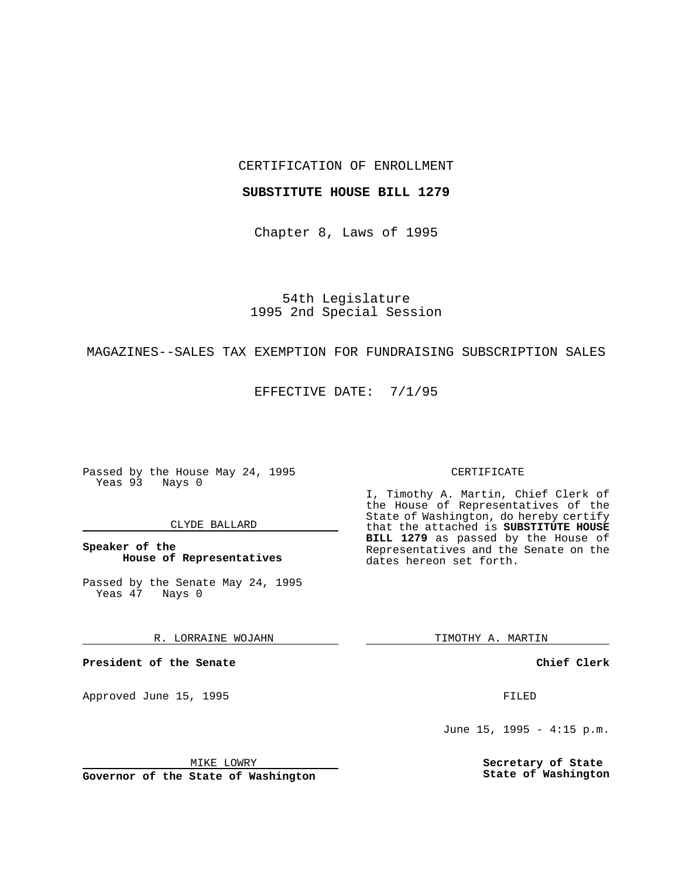CERTIFICATION OF ENROLLMENT

## **SUBSTITUTE HOUSE BILL 1279**

Chapter 8, Laws of 1995

54th Legislature 1995 2nd Special Session

# MAGAZINES--SALES TAX EXEMPTION FOR FUNDRAISING SUBSCRIPTION SALES

EFFECTIVE DATE: 7/1/95

Passed by the House May 24, 1995 Yeas 93 Nays 0

## CLYDE BALLARD

## **Speaker of the House of Representatives**

Passed by the Senate May 24, 1995 Yeas 47 Nays 0

#### R. LORRAINE WOJAHN

**President of the Senate**

Approved June 15, 1995 FILED

#### MIKE LOWRY

**Governor of the State of Washington**

#### CERTIFICATE

I, Timothy A. Martin, Chief Clerk of the House of Representatives of the State of Washington, do hereby certify that the attached is **SUBSTITUTE HOUSE BILL 1279** as passed by the House of Representatives and the Senate on the dates hereon set forth.

TIMOTHY A. MARTIN

## **Chief Clerk**

June 15, 1995 - 4:15 p.m.

**Secretary of State State of Washington**